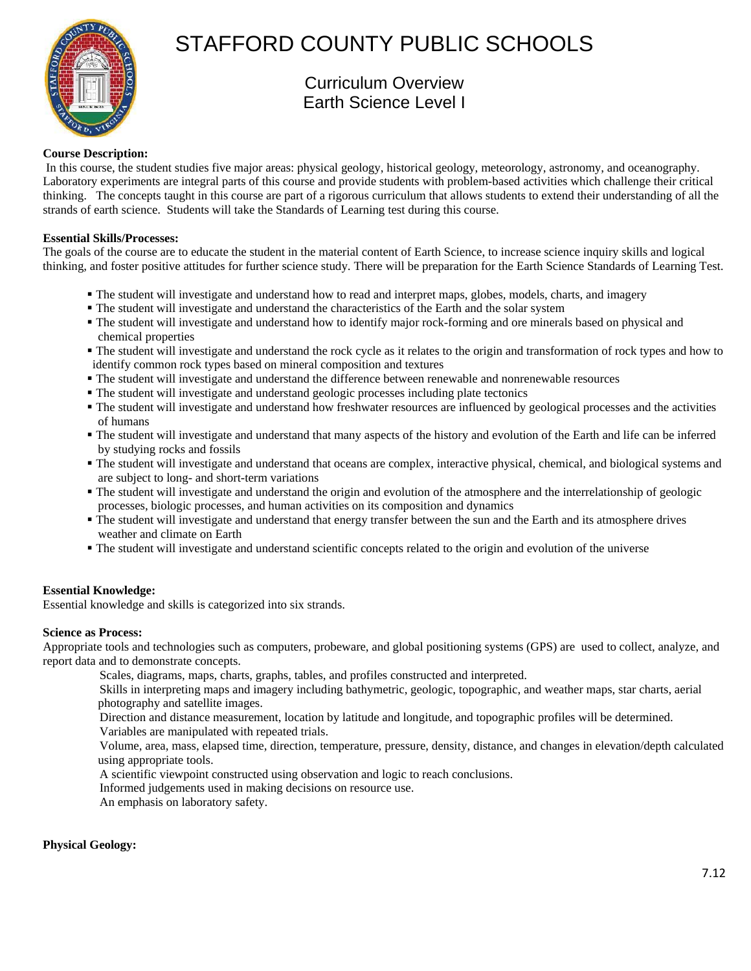

# STAFFORD COUNTY PUBLIC SCHOOLS

# Curriculum Overview Earth Science Level I

# **Course Description:**

 In this course, the student studies five major areas: physical geology, historical geology, meteorology, astronomy, and oceanography. Laboratory experiments are integral parts of this course and provide students with problem-based activities which challenge their critical thinking. The concepts taught in this course are part of a rigorous curriculum that allows students to extend their understanding of all the strands of earth science. Students will take the Standards of Learning test during this course.

# **Essential Skills/Processes:**

The goals of the course are to educate the student in the material content of Earth Science, to increase science inquiry skills and logical thinking, and foster positive attitudes for further science study. There will be preparation for the Earth Science Standards of Learning Test.

- The student will investigate and understand how to read and interpret maps, globes, models, charts, and imagery
- The student will investigate and understand the characteristics of the Earth and the solar system
- The student will investigate and understand how to identify major rock-forming and ore minerals based on physical and chemical properties
- The student will investigate and understand the rock cycle as it relates to the origin and transformation of rock types and how to identify common rock types based on mineral composition and textures
- The student will investigate and understand the difference between renewable and nonrenewable resources
- The student will investigate and understand geologic processes including plate tectonics
- The student will investigate and understand how freshwater resources are influenced by geological processes and the activities of humans
- The student will investigate and understand that many aspects of the history and evolution of the Earth and life can be inferred by studying rocks and fossils
- The student will investigate and understand that oceans are complex, interactive physical, chemical, and biological systems and are subject to long- and short-term variations
- The student will investigate and understand the origin and evolution of the atmosphere and the interrelationship of geologic processes, biologic processes, and human activities on its composition and dynamics
- The student will investigate and understand that energy transfer between the sun and the Earth and its atmosphere drives weather and climate on Earth
- The student will investigate and understand scientific concepts related to the origin and evolution of the universe

# **Essential Knowledge:**

Essential knowledge and skills is categorized into six strands.

# **Science as Process:**

Appropriate tools and technologies such as computers, probeware, and global positioning systems (GPS) are used to collect, analyze, and report data and to demonstrate concepts.

Scales, diagrams, maps, charts, graphs, tables, and profiles constructed and interpreted.

 Skills in interpreting maps and imagery including bathymetric, geologic, topographic, and weather maps, star charts, aerial photography and satellite images.

Direction and distance measurement, location by latitude and longitude, and topographic profiles will be determined.

Variables are manipulated with repeated trials.

 Volume, area, mass, elapsed time, direction, temperature, pressure, density, distance, and changes in elevation/depth calculated using appropriate tools.

A scientific viewpoint constructed using observation and logic to reach conclusions.

Informed judgements used in making decisions on resource use.

An emphasis on laboratory safety.

#### **Physical Geology:**